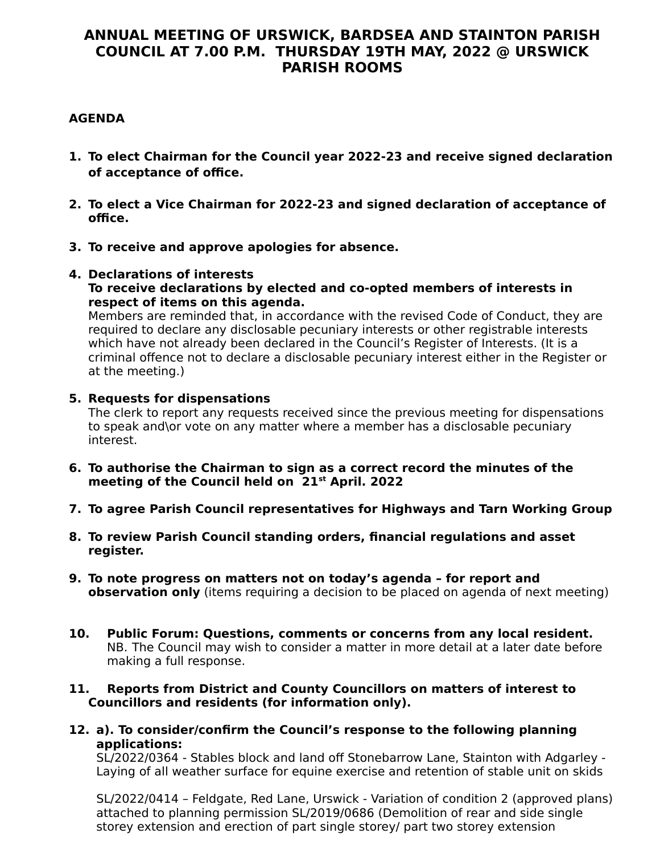# **ANNUAL MEETING OF URSWICK, BARDSEA AND STAINTON PARISH COUNCIL AT 7.00 P.M. THURSDAY 19TH MAY, 2022 @ URSWICK PARISH ROOMS**

# **AGENDA**

- **1. To elect Chairman for the Council year 2022-23 and receive signed declaration of acceptance of office.**
- **2. To elect a Vice Chairman for 2022-23 and signed declaration of acceptance of office.**
- **3. To receive and approve apologies for absence.**

## **4. Declarations of interests**

#### **To receive declarations by elected and co-opted members of interests in respect of items on this agenda.**

Members are reminded that, in accordance with the revised Code of Conduct, they are required to declare any disclosable pecuniary interests or other registrable interests which have not already been declared in the Council's Register of Interests. (It is a criminal offence not to declare a disclosable pecuniary interest either in the Register or at the meeting.)

## **5. Requests for dispensations**

The clerk to report any requests received since the previous meeting for dispensations to speak and\or vote on any matter where a member has a disclosable pecuniary interest.

- **6. To authorise the Chairman to sign as a correct record the minutes of the meeting of the Council held on 21st April. 2022**
- **7. To agree Parish Council representatives for Highways and Tarn Working Group**
- **8. To review Parish Council standing orders, financial regulations and asset register.**
- **9. To note progress on matters not on today's agenda for report and observation only** (items requiring a decision to be placed on agenda of next meeting)
- **10. Public Forum: Questions, comments or concerns from any local resident.** NB. The Council may wish to consider a matter in more detail at a later date before making a full response.

## **11. Reports from District and County Councillors on matters of interest to Councillors and residents (for information only).**

**12. a). To consider/confirm the Council's response to the following planning applications:**

SL/2022/0364 - Stables block and land off Stonebarrow Lane, Stainton with Adgarley - Laying of all weather surface for equine exercise and retention of stable unit on skids

SL/2022/0414 – Feldgate, Red Lane, Urswick - Variation of condition 2 (approved plans) attached to planning permission SL/2019/0686 (Demolition of rear and side single storey extension and erection of part single storey/ part two storey extension